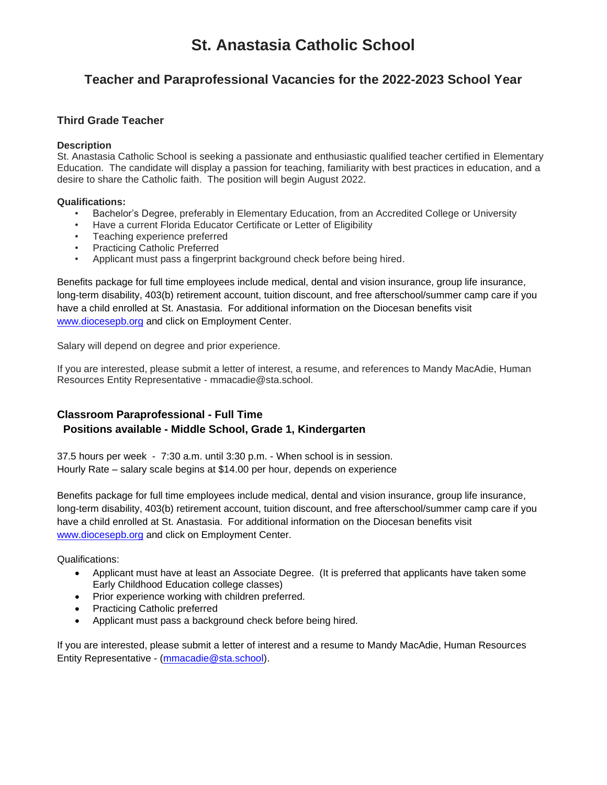# **St. Anastasia Catholic School**

# **Teacher and Paraprofessional Vacancies for the 2022-2023 School Year**

## **Third Grade Teacher**

#### **Description**

St. Anastasia Catholic School is seeking a passionate and enthusiastic qualified teacher certified in Elementary Education. The candidate will display a passion for teaching, familiarity with best practices in education, and a desire to share the Catholic faith. The position will begin August 2022.

#### **Qualifications:**

- Bachelor's Degree, preferably in Elementary Education, from an Accredited College or University
- Have a current Florida Educator Certificate or Letter of Eligibility
- Teaching experience preferred
- Practicing Catholic Preferred
- Applicant must pass a fingerprint background check before being hired.

Benefits package for full time employees include medical, dental and vision insurance, group life insurance, long-term disability, 403(b) retirement account, tuition discount, and free afterschool/summer camp care if you have a child enrolled at St. Anastasia. For additional information on the Diocesan benefits visit [www.diocesepb.org](http://www.diocesepb.org/) and click on Employment Center.

Salary will depend on degree and prior experience.

If you are interested, please submit a letter of interest, a resume, and references to Mandy MacAdie, Human Resources Entity Representative - mmacadie@sta.school.

# **Classroom Paraprofessional - Full Time Positions available - Middle School, Grade 1, Kindergarten**

37.5 hours per week - 7:30 a.m. until 3:30 p.m. - When school is in session. Hourly Rate – salary scale begins at \$14.00 per hour, depends on experience

Benefits package for full time employees include medical, dental and vision insurance, group life insurance, long-term disability, 403(b) retirement account, tuition discount, and free afterschool/summer camp care if you have a child enrolled at St. Anastasia. For additional information on the Diocesan benefits visit [www.diocesepb.org](http://www.diocesepb.org/) and click on Employment Center.

Qualifications:

- Applicant must have at least an Associate Degree. (It is preferred that applicants have taken some Early Childhood Education college classes)
- Prior experience working with children preferred.
- Practicing Catholic preferred
- Applicant must pass a background check before being hired.

If you are interested, please submit a letter of interest and a resume to Mandy MacAdie, Human Resources Entity Representative - [\(mmacadie@sta.school\)](mailto:mmacadie@sta.school).